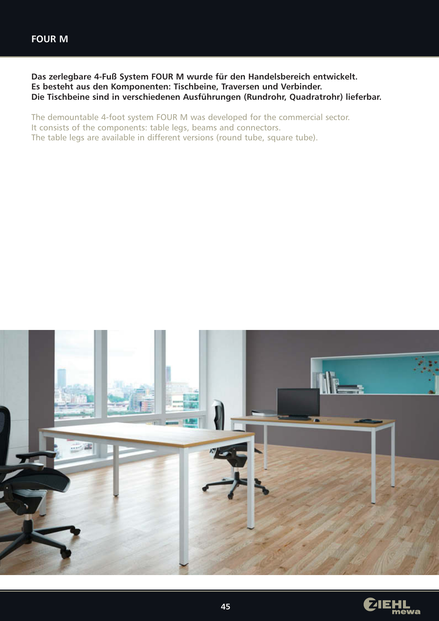**Das zerlegbare 4-Fuß System FOUR M wurde für den Handelsbereich entwickelt. Es besteht aus den Komponenten: Tischbeine, Traversen und Verbinder. Die Tischbeine sind in verschiedenen Ausführungen (Rundrohr, Quadratrohr) lieferbar.**

The demountable 4-foot system FOUR M was developed for the commercial sector. It consists of the components: table legs, beams and connectors. The table legs are available in different versions (round tube, square tube).